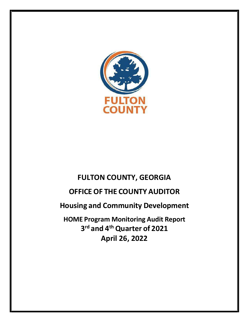

## FULTON COUNTY, GEORGIA

# OFFICE OF THE COUNTY AUDITOR

Housing and Community Development

HOME Program Monitoring Audit Report 3<sup>rd</sup> and 4<sup>th</sup> Quarter of 2021 April 26, 2022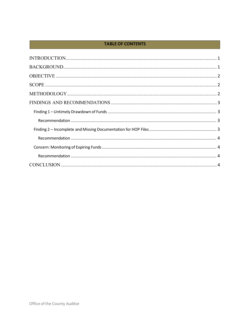### **TABLE OF CONTENTS**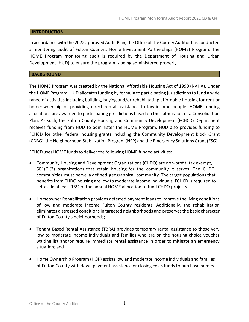#### **INTRODUCTION**

In accordance with the 2022 approved Audit Plan, the Office of the County Auditor has conducted a monitoring audit of Fulton County's Home Investment Partnerships (HOME) Program. The HOME Program monitoring audit is required by the Department of Housing and Urban Development (HUD) to ensure the program is being administered properly.

#### BACKGROUND

The HOME Program was created by the National Affordable Housing Act of 1990 (NAHA). Under the HOME Program, HUD allocates funding by formula to participating jurisdictions to fund a wide range of activities including building, buying and/or rehabilitating affordable housing for rent or homeownership or providing direct rental assistance to low-income people. HOME funding allocations are awarded to participating jurisdictions based on the submission of a Consolidation Plan. As such, the Fulton County Housing and Community Development (FCHCD) Department receives funding from HUD to administer the HOME Program. HUD also provides funding to FCHCD for other federal housing grants including the Community Development Block Grant (CDBG), the Neighborhood Stabilization Program (NSP) and the Emergency Solutions Grant (ESG).

FCHCD uses HOME funds to deliver the following HOME funded activities:

- Community Housing and Development Organizations (CHDO) are non-profit, tax exempt,  $501(C)(3)$  organizations that retain housing for the community it serves. The CHDO communities must serve a defined geographical community. The target populations that benefits from CHDO housing are low to moderate income individuals. FCHCD is required to set-aside at least 15% of the annual HOME allocation to fund CHDO projects.
- Homeowner Rehabilitation provides deferred payment loans to improve the living conditions of low and moderate income Fulton County residents. Additionally, the rehabilitation eliminates distressed conditions in targeted neighborhoods and preserves the basic character of Fulton County's neighborhoods;
- Tenant Based Rental Assistance (TBRA) provides temporary rental assistance to those very low to moderate income individuals and families who are on the housing choice voucher waiting list and/or require immediate rental assistance in order to mitigate an emergency situation; and
- Home Ownership Program (HOP) assists low and moderate income individuals and families of Fulton County with down payment assistance or closing costs funds to purchase homes.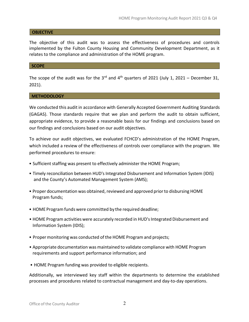#### **OBJECTIVE**

The objective of this audit was to assess the effectiveness of procedures and controls implemented by the Fulton County Housing and Community Development Department, as it relates to the compliance and administration of the HOME program.

#### **SCOPE**

The scope of the audit was for the 3<sup>rd</sup> and 4<sup>th</sup> quarters of 2021 (July 1, 2021 – December 31, 2021).

#### METHODOLOGY

We conducted this audit in accordance with Generally Accepted Government Auditing Standards (GAGAS). Those standards require that we plan and perform the audit to obtain sufficient, appropriate evidence, to provide a reasonable basis for our findings and conclusions based on our findings and conclusions based on our audit objectives.

To achieve our audit objectives, we evaluated FCHCD's administration of the HOME Program, which included a review of the effectiveness of controls over compliance with the program. We performed procedures to ensure:

- Sufficient staffing was present to effectively administer the HOME Program;
- Timely reconciliation between HUD's Integrated Disbursement and Information System (IDIS) and the County's Automated Management System (AMS);
- Proper documentation was obtained, reviewed and approved prior to disbursing HOME Program funds;
- HOME Program funds were committed by the required deadline;
- HOME Program activities were accurately recorded in HUD's Integrated Disbursement and Information System (IDIS);
- Proper monitoring was conducted of the HOME Program and projects;
- Appropriate documentation was maintained to validate compliance with HOME Program requirements and support performance information; and
- HOME Program funding was provided to eligible recipients.

Additionally, we interviewed key staff within the departments to determine the established processes and procedures related to contractual management and day-to-day operations.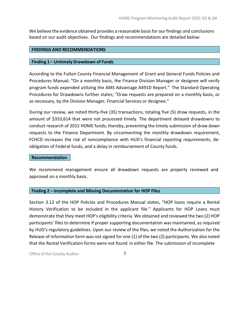We believe the evidence obtained provides a reasonable basis for our findings and conclusions based on our audit objectives. Our findings and recommendations are detailed below:

#### FINDINGS AND RECOMMENDATIONS

#### Finding 1 – Untimely Drawdown of Funds

According to the Fulton County Financial Management of Grant and General Funds Policies and Procedures Manual; "On a monthly basis, the Finance Division Manager or designee will verify program funds expended utilizing the AMS Advantage A491D Report." The Standard Operating Procedures for Drawdowns further states; "Draw requests are prepared on a monthly basis, or as necessary, by the Division Manager, Financial Services or designee."

During our review, we noted thirty-five (35) transactions, totaling five (5) draw requests, in the amount of \$333,614 that were not processed timely. The department delayed drawdowns to conduct research of 2015 HOME funds; thereby, preventing the timely submission of draw down requests to the Finance Department. By circumventing the monthly drawdown requirement, FCHCD increases the risk of noncompliance with HUD's financial reporting requirements, deobligation of Federal funds, and a delay in reimbursement of County funds.

#### Recommendation

We recommend management ensure all drawdown requests are properly reviewed and approved on a monthly basis.

#### Finding 2 – Incomplete and Missing Documentation for HOP Files

Section 3.12 of the HOP Policies and Procedures Manual states, "HOP loans require a Rental History Verification to be included in the applicant file." Applicants for HOP Loans must demonstrate that they meet HOP's eligibility criteria. We obtained and reviewed the two (2) HOP participants' files to determine if proper supporting documentation was maintained, as required by HUD's regulatory guidelines. Upon our review of the files, we noted the Authorization for the Release of Information form was not signed for one (1) of the two (2) participants. We also noted that the Rental Verification forms were not found in either file. The submission of incomplete

Office of the County Auditor 3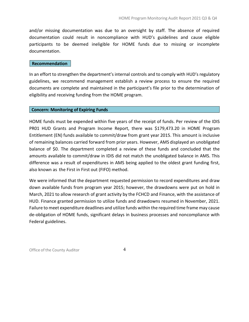and/or missing documentation was due to an oversight by staff. The absence of required documentation could result in noncompliance with HUD's guidelines and cause eligible participants to be deemed ineligible for HOME funds due to missing or incomplete documentation.

#### Recommendation

In an effort to strengthen the department's internal controls and to comply with HUD's regulatory guidelines, we recommend management establish a review process to ensure the required documents are complete and maintained in the participant's file prior to the determination of eligibility and receiving funding from the HOME program.

#### Concern: Monitoring of Expiring Funds

HOME funds must be expended within five years of the receipt of funds. Per review of the IDIS PR01 HUD Grants and Program Income Report, there was \$179,473.20 in HOME Program Entitlement (EN) funds available to commit/draw from grant year 2015. This amount is inclusive of remaining balances carried forward from prior years. However, AMS displayed an unobligated balance of \$0. The department completed a review of these funds and concluded that the amounts available to commit/draw in IDIS did not match the unobligated balance in AMS. This difference was a result of expenditures in AMS being applied to the oldest grant funding first, also known as the First in First out (FIFO) method.

We were informed that the department requested permission to record expenditures and draw down available funds from program year 2015; however, the drawdowns were put on hold in March, 2021 to allow research of grant activity by the FCHCD and Finance, with the assistance of HUD. Finance granted permission to utilize funds and drawdowns resumed in November, 2021. Failure to meet expenditure deadlines and utilize funds within the required time frame may cause de-obligation of HOME funds, significant delays in business processes and noncompliance with Federal guidelines.

Office of the County Auditor 4